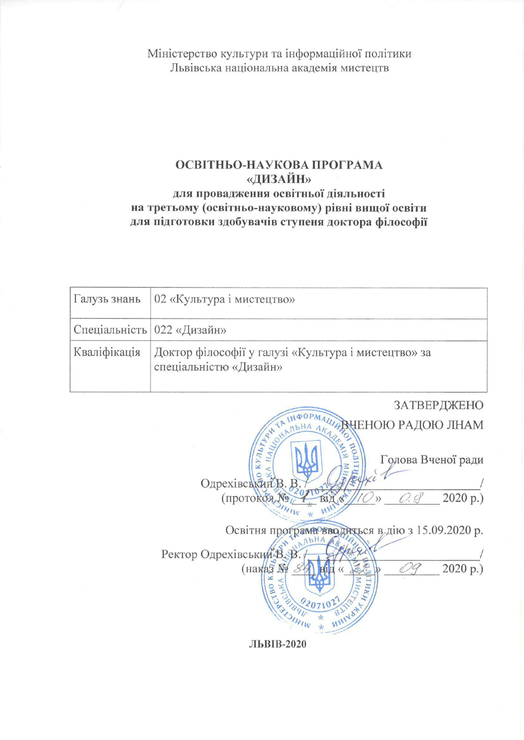Міністерство культури та інформаційної політики Львівська національна академія мистецтв

### ОСВІТНЬО-НАУКОВА ПРОГРАМА «ДИЗАЙН» для провадження освітньої діяльності на третьому (освітньо-науковому) рівні вищої освіти для підготовки здобувачів ступеня доктора філософії

|                              | Галузь знань   02 «Культура і мистецтво»                                      |
|------------------------------|-------------------------------------------------------------------------------|
| Спеціальність   022 «Дизайн» |                                                                               |
| Кваліфікація                 | Доктор філософії у галузі «Культура і мистецтво» за<br>спеціальністю «Дизайн» |

ЗАТВЕРДЖЕНО ВЧЕНОЮ РАДОЮ ЛНАМ  $KYJl_{b}\gamma_{b}$ Голова Вченої ради Одрехівський В. В 2020 p.) (протокоя Nº  $O.CP$ BIA &  $\mathcal{E}$ Освітня програма вводиться в дію з 15.09.2020 р. Ректор Одрехівський В. В  $Oq$  $2020 p.)$ (наказ №

ЛЬВІВ-2020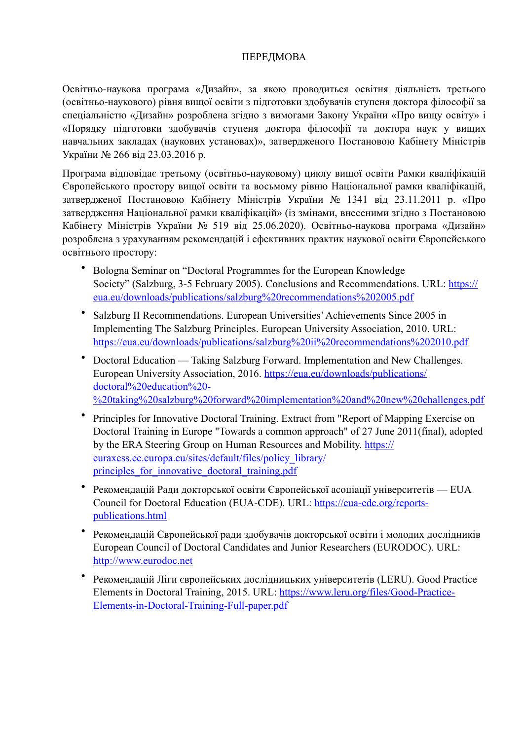### ПЕРЕДМОВА

Освітньо-наукова програма «Дизайн», за якою проводиться освітня діяльність третього (освітньо-наукового) рівня вищої освіти з підготовки здобувачів ступеня доктора філософії за спеціальністю «Дизайн» розроблена згідно з вимогами Закону України «Про вищу освіту» і «Порядку підготовки здобувачів ступеня доктора філософії та доктора наук у вищих навчальних закладах (наукових установах)», затвердженого Постановою Кабінету Міністрів України № 266 від 23.03.2016 р.

Програма відповідає третьому (освітньо-науковому) циклу вищої освіти Рамки кваліфікацій Європейського простору вищої освіти та восьмому рівню Національної рамки кваліфікацій, затвердженої Постановою Кабінету Міністрів України № 1341 від 23.11.2011 р. «Про затвердження Національної рамки кваліфікацій» (із змінами, внесеними згідно з Постановою Кабінету Міністрів України № 519 від 25.06.2020). Освітньо-наукова програма «Дизайн» розроблена з урахуванням рекомендацій і ефективних практик наукової освіти Європейського освітнього простору:

- Bologna Seminar on "Doctoral Programmes for the European Knowledge Society" (Salzburg, 3-5 February 2005). Conclusions and Recommendations. URL: [https://](https://eua.eu/downloads/publications/salzburg%20recommendations%202005.pdf) [eua.eu/downloads/publications/salzburg%20recommendations%202005.pdf](https://eua.eu/downloads/publications/salzburg%20recommendations%202005.pdf)
- Salzburg II Recommendations. European Universities' Achievements Since 2005 in Implementing The Salzburg Principles. European University Association, 2010. URL: <https://eua.eu/downloads/publications/salzburg%20ii%20recommendations%202010.pdf>
- Doctoral Education Taking Salzburg Forward. Implementation and New Challenges. European University Association, 2016. [https://eua.eu/downloads/publications/](https://eua.eu/downloads/publications/doctoral%20education%20-%20taking%20salzburg%20forward%20implementation%20and%20new%20challenges.pdf) [doctoral%20education%20-](https://eua.eu/downloads/publications/doctoral%20education%20-%20taking%20salzburg%20forward%20implementation%20and%20new%20challenges.pdf) [%20taking%20salzburg%20forward%20implementation%20and%20new%20challenges.pdf](https://eua.eu/downloads/publications/doctoral%20education%20-%20taking%20salzburg%20forward%20implementation%20and%20new%20challenges.pdf)
- Principles for Innovative Doctoral Training. Extract from "Report of Mapping Exercise on Doctoral Training in Europe "Towards a common approach" of 27 June 2011(final), adopted by the ERA Steering Group on Human Resources and Mobility. [https://](https://euraxess.ec.europa.eu/sites/default/files/policy_library/principles_for_innovative_doctoral_training.pdf) [euraxess.ec.europa.eu/sites/default/files/policy\\_library/](https://euraxess.ec.europa.eu/sites/default/files/policy_library/principles_for_innovative_doctoral_training.pdf) principles for innovative doctoral training.pdf
- Рекомендацій Ради докторської освіти Європейської асоціації університетів EUA Council for Doctoral Education (EUA-CDE). URL: [https://eua-cde.org/reports](https://eua-cde.org/reports-publications.html)[publications.html](https://eua-cde.org/reports-publications.html)
- Рекомендацій Європейської ради здобувачів докторської освіти і молодих дослідників European Council of Doctoral Candidates and Junior Researchers (EURODOC). URL: <http://www.eurodoc.net>
- Рекомендацій Ліги європейських дослідницьких університетів (LERU). Good Practice Elements in Doctoral Training, 2015. URL: [https://www.leru.org/files/Good-Practice-](https://www.leru.org/files/Good-Practice-Elements-in-Doctoral-Training-Full-paper.pdf)[Elements-in-Doctoral-Training-Full-paper.pdf](https://www.leru.org/files/Good-Practice-Elements-in-Doctoral-Training-Full-paper.pdf)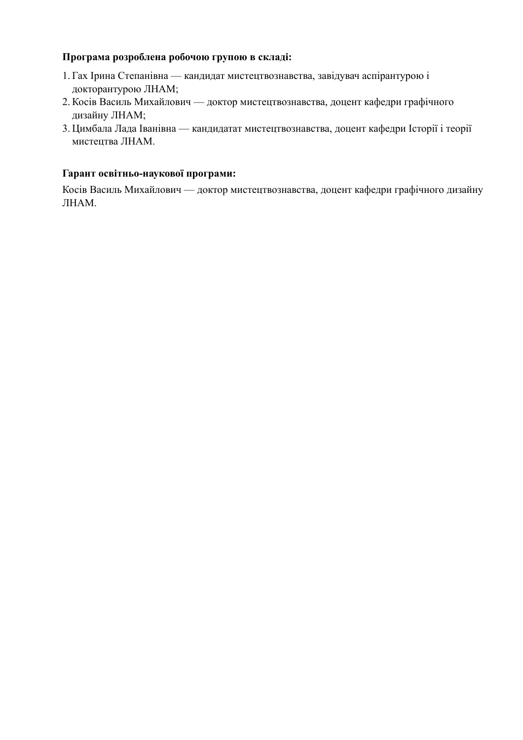### Програма розроблена робочою групою в складі:

- 1. Гах Ірина Степанівна кандидат мистецтвознавства, завідувач аспірантурою і докторантурою ЛНАМ;
- 2. Косів Василь Михайлович доктор мистецтвознавства, доцент кафедри графічного дизайну ЛНАМ;
- 3. Цимбала Лада Іванівна кандидатат мистецтвознавства, доцент кафедри Історії і теорії мистецтва ЛНАМ.

#### Гарант освітньо-наукової програми:

Косів Василь Михайлович — доктор мистецтвознавства, доцент кафедри графічного дизайну ЛНАМ.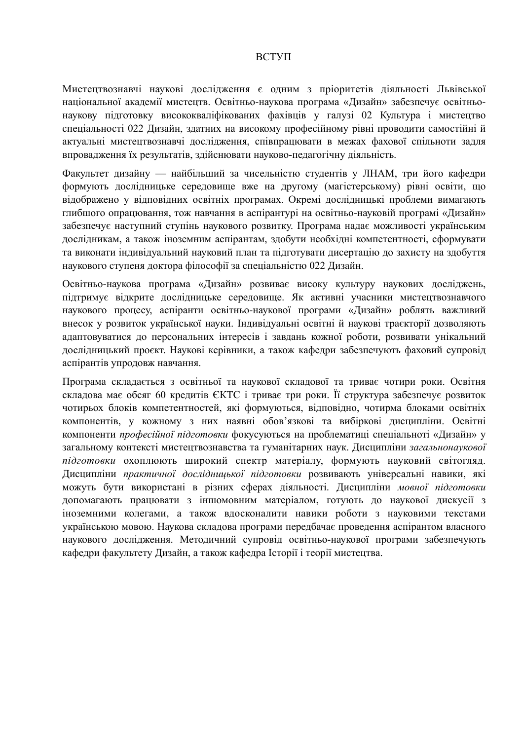#### **BCTVII**

Мистецтвознавчі наукові дослідження є одним з пріоритетів діяльності Львівської національної академії мистецтв. Освітньо-наукова програма «Дизайн» забезпечує освітньонаукову підготовку висококваліфікованих фахівців у галузі 02 Культура і мистецтво спеціальності 022 Дизайн, здатних на високому професійному рівні проводити самостійні й актуальні мистецтвознавчі дослідження, співпрацювати в межах фахової спільноти задля впровадження їх результатів, здійснювати науково-педагогічну діяльність.

Факультет дизайну — найбільший за чисельністю студентів у ЛНАМ, три його кафедри формують дослідницьке середовище вже на другому (магістерському) рівні освіти, що відображено у відповідних освітніх програмах. Окремі дослідницькі проблеми вимагають глибшого опрацювання, тож навчання в аспірантурі на освітньо-науковій програмі «Дизайн» забезпечує наступний ступінь наукового розвитку. Програма надає можливості українським дослідникам, а також іноземним аспірантам, здобути необхідні компетентності, сформувати та виконати індивідуальний науковий план та підготувати дисертацію до захисту на здобуття наукового ступеня доктора філософії за спеціальністю 022 Дизайн.

Освітньо-наукова програма «Дизайн» розвиває високу культуру наукових досліджень, підтримує відкрите дослідницьке середовище. Як активні учасники мистецтвознавчого наукового процесу, аспіранти освітньо-наукової програми «Дизайн» роблять важливий внесок у розвиток української науки. Індивідуальні освітні й наукові траєкторії дозволяють адаптовуватися до персональних інтересів і завдань кожної роботи, розвивати унікальний дослідницький проєкт. Наукові керівники, а також кафедри забезпечують фаховий супровід аспірантів упродовж навчання.

Програма складається з освітньої та наукової складової та триває чотири роки. Освітня складова має обсяг 60 кредитів ЄКТС і триває три роки. Її структура забезпечує розвиток чотирьох блоків компетентностей, які формуються, відповідно, чотирма блоками освітніх компонентів, у кожному з них наявні обов'язкові та вибіркові дисципліни. Освітні компоненти професійної підготовки фокусуються на проблематиці спеціальноті «Дизайн» у загальному контексті мистецтвознавства та гуманітарних наук. Дисципліни загальнонаукової підготовки охоплюють широкий спектр матеріалу, формують науковий світогляд. Дисципліни практичної дослідницької підготовки розвивають універсальні навики, які можуть бути використані в різних сферах діяльності. Дисципліни мовної підготовки допомагають працювати з іншомовним матеріалом, готують до наукової дискусії з іноземними колегами, а також вдосконалити навики роботи з науковими текстами українською мовою. Наукова складова програми передбачає проведення аспірантом власного наукового дослідження. Методичний супровід освітньо-наукової програми забезпечують кафелри факультету Лизайн, а також кафелра Історії і теорії мистецтва.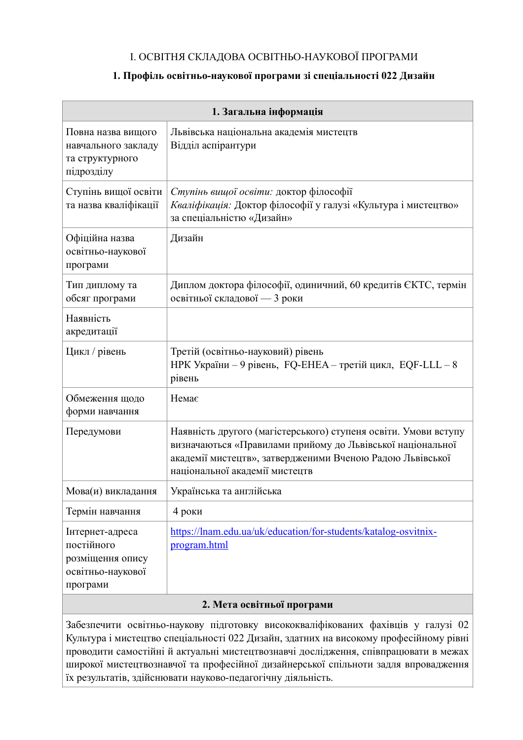### І. ОСВІТНЯ СКЛАДОВА ОСВІТНЬО-НАУКОВОЇ ПРОГРАМИ

### 1. Профіль освітньо-наукової програми зі спеціальності 022 Дизайн

| 1. Загальна інформація                                                             |                                                                                                                                                                                                                              |  |  |  |  |  |  |  |  |
|------------------------------------------------------------------------------------|------------------------------------------------------------------------------------------------------------------------------------------------------------------------------------------------------------------------------|--|--|--|--|--|--|--|--|
| Повна назва вищого<br>навчального закладу<br>та структурного<br>підрозділу         | Львівська національна академія мистецтв<br>Відділ аспірантури                                                                                                                                                                |  |  |  |  |  |  |  |  |
| Ступінь вищої освіти<br>та назва кваліфікації                                      | Ступінь вищої освіти: доктор філософії<br>Кваліфікація: Доктор філософії у галузі «Культура і мистецтво»<br>за спеціальністю «Дизайн»                                                                                        |  |  |  |  |  |  |  |  |
| Офіційна назва<br>освітньо-наукової<br>програми                                    | Дизайн                                                                                                                                                                                                                       |  |  |  |  |  |  |  |  |
| Тип диплому та<br>обсяг програми                                                   | Диплом доктора філософії, одиничний, 60 кредитів ЄКТС, термін<br>освітньої складової — 3 роки                                                                                                                                |  |  |  |  |  |  |  |  |
| Наявність<br>акредитації                                                           |                                                                                                                                                                                                                              |  |  |  |  |  |  |  |  |
| Цикл / рівень                                                                      | Третій (освітньо-науковий) рівень<br>НРК України - 9 рівень, FQ-ЕНЕА - третій цикл, EQF-LLL - 8<br>рівень                                                                                                                    |  |  |  |  |  |  |  |  |
| Обмеження щодо<br>форми навчання                                                   | Немає                                                                                                                                                                                                                        |  |  |  |  |  |  |  |  |
| Передумови                                                                         | Наявність другого (магістерського) ступеня освіти. Умови вступу<br>визначаються «Правилами прийому до Львівської національної<br>академії мистецтв», затвердженими Вченою Радою Львівської<br>національної академії мистецтв |  |  |  |  |  |  |  |  |
| Мова(и) викладання                                                                 | Українська та англійська                                                                                                                                                                                                     |  |  |  |  |  |  |  |  |
| Термін навчання                                                                    | 4 роки                                                                                                                                                                                                                       |  |  |  |  |  |  |  |  |
| Інтернет-адреса<br>постійного<br>розміщення опису<br>освітньо-наукової<br>програми | https://lnam.edu.ua/uk/education/for-students/katalog-osvitnix-<br>program.html                                                                                                                                              |  |  |  |  |  |  |  |  |
|                                                                                    | 2 More conjunt of unovator                                                                                                                                                                                                   |  |  |  |  |  |  |  |  |

### 2. Мета освітньої програми

Забезпечити освітньо-наукову підготовку висококваліфікованих фахівців у галузі 02 Культура і мистецтво спеціальності 022 Дизайн, здатних на високому професійному рівні проводити самостійні й актуальні мистецтвознавчі дослідження, співпрацювати в межах широкої мистецтвознавчої та професійної дизайнерської спільноти задля впровадження їх результатів, здійснювати науково-педагогічну діяльність.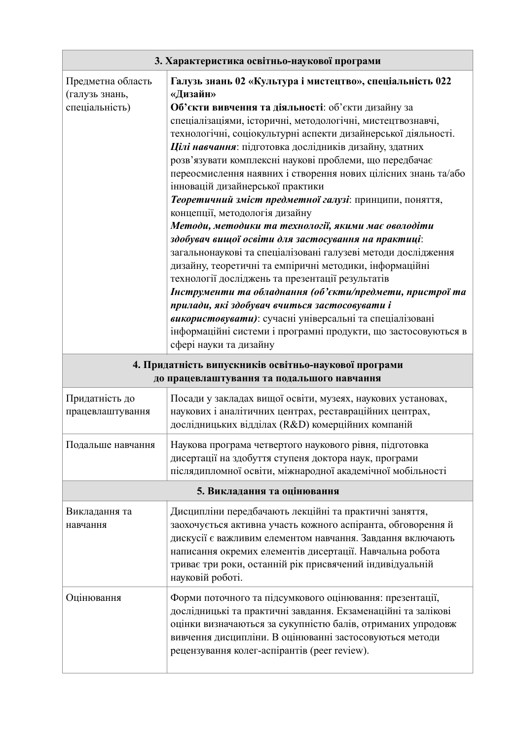| 3. Характеристика освітньо-наукової програми          |                                                                                                                                                                                                                                                                                                                                                                                                                                                                                                                                                                                                                                                                                                                                                                                                                                                                                                                                                                                                                                                                                                                                                         |  |  |  |  |  |  |  |  |  |
|-------------------------------------------------------|---------------------------------------------------------------------------------------------------------------------------------------------------------------------------------------------------------------------------------------------------------------------------------------------------------------------------------------------------------------------------------------------------------------------------------------------------------------------------------------------------------------------------------------------------------------------------------------------------------------------------------------------------------------------------------------------------------------------------------------------------------------------------------------------------------------------------------------------------------------------------------------------------------------------------------------------------------------------------------------------------------------------------------------------------------------------------------------------------------------------------------------------------------|--|--|--|--|--|--|--|--|--|
| Предметна область<br>(галузь знань,<br>спеціальність) | Галузь знань 02 «Культура і мистецтво», спеціальність 022<br>«Дизайн»<br>Об'єкти вивчення та діяльності: об'єкти дизайну за<br>спеціалізаціями, історичні, методологічні, мистецтвознавчі,<br>технологічні, соціокультурні аспекти дизайнерської діяльності.<br>Цілі навчання: підготовка дослідників дизайну, здатних<br>розв'язувати комплексні наукові проблеми, що передбачає<br>переосмислення наявних і створення нових цілісних знань та/або<br>інновацій дизайнерської практики<br>Теоретичний зміст предметної галузі: принципи, поняття,<br>концепції, методологія дизайну<br>Методи, методики та технології, якими має оволодіти<br>здобувач вищої освіти для застосування на практиці:<br>загальнонаукові та спеціалізовані галузеві методи дослідження<br>дизайну, теоретичні та емпіричні методики, інформаційні<br>технології досліджень та презентації результатів<br>Інструменти та обладнання (об'єкти/предмети, пристрої та<br>прилади, які здобувач вчиться застосовувати і<br>використовувати): сучасні універсальні та спеціалізовані<br>інформаційні системи і програмні продукти, що застосовуються в<br>сфері науки та дизайну |  |  |  |  |  |  |  |  |  |
|                                                       | 4. Придатність випускників освітньо-наукової програми<br>до працевлаштування та подальшого навчання                                                                                                                                                                                                                                                                                                                                                                                                                                                                                                                                                                                                                                                                                                                                                                                                                                                                                                                                                                                                                                                     |  |  |  |  |  |  |  |  |  |
| Придатність до<br>працевлаштування                    | Посади у закладах вищої освіти, музеях, наукових установах,<br>наукових і аналітичних центрах, реставраційних центрах,<br>дослідницьких відділах (R&D) комерційних компаній                                                                                                                                                                                                                                                                                                                                                                                                                                                                                                                                                                                                                                                                                                                                                                                                                                                                                                                                                                             |  |  |  |  |  |  |  |  |  |
| Подальше навчання                                     | Наукова програма четвертого наукового рівня, підготовка<br>дисертації на здобуття ступеня доктора наук, програми<br>післядипломної освіти, міжнародної академічної мобільності                                                                                                                                                                                                                                                                                                                                                                                                                                                                                                                                                                                                                                                                                                                                                                                                                                                                                                                                                                          |  |  |  |  |  |  |  |  |  |
|                                                       | 5. Викладання та оцінювання                                                                                                                                                                                                                                                                                                                                                                                                                                                                                                                                                                                                                                                                                                                                                                                                                                                                                                                                                                                                                                                                                                                             |  |  |  |  |  |  |  |  |  |
| Викладання та<br>навчання                             | Дисципліни передбачають лекційні та практичні заняття,<br>заохочується активна участь кожного аспіранта, обговорення й<br>дискусії є важливим елементом навчання. Завдання включають<br>написання окремих елементів дисертації. Навчальна робота<br>триває три роки, останній рік присвячений індивідуальній<br>науковій роботі.                                                                                                                                                                                                                                                                                                                                                                                                                                                                                                                                                                                                                                                                                                                                                                                                                        |  |  |  |  |  |  |  |  |  |
| Оцінювання                                            | Форми поточного та підсумкового оцінювання: презентації,<br>дослідницькі та практичні завдання. Екзаменаційні та залікові<br>оцінки визначаються за сукупністю балів, отриманих упродовж<br>вивчення дисципліни. В оцінюванні застосовуються методи<br>рецензування колег-аспірантів (peer review).                                                                                                                                                                                                                                                                                                                                                                                                                                                                                                                                                                                                                                                                                                                                                                                                                                                     |  |  |  |  |  |  |  |  |  |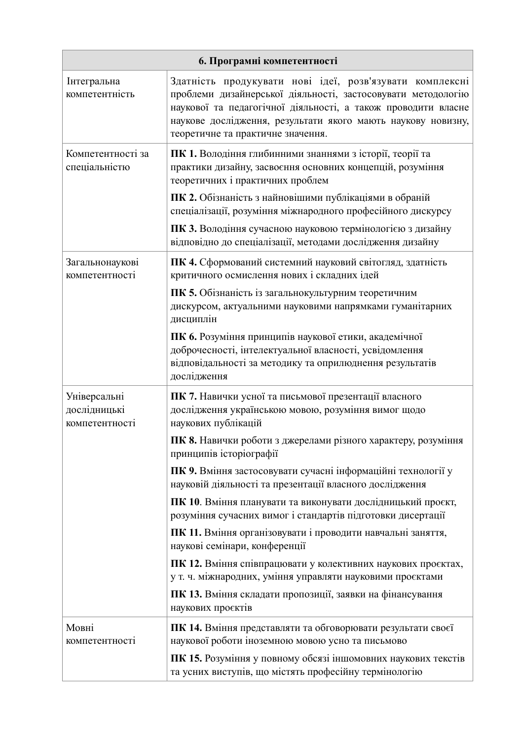| 6. Програмні компетентності                    |                                                                                                                                                                                                                                                                                                |  |  |  |  |  |  |  |  |  |
|------------------------------------------------|------------------------------------------------------------------------------------------------------------------------------------------------------------------------------------------------------------------------------------------------------------------------------------------------|--|--|--|--|--|--|--|--|--|
| Інтегральна<br>компетентність                  | Здатність продукувати нові ідеї, розв'язувати комплексні<br>проблеми дизайнерської діяльності, застосовувати методологію<br>наукової та педагогічної діяльності, а також проводити власне<br>наукове дослідження, результати якого мають наукову новизну,<br>теоретичне та практичне значення. |  |  |  |  |  |  |  |  |  |
| Компетентності за<br>спеціальністю             | ПК 1. Володіння глибинними знаннями з історії, теорії та<br>практики дизайну, засвоєння основних концепцій, розуміння<br>теоретичних і практичних проблем                                                                                                                                      |  |  |  |  |  |  |  |  |  |
|                                                | ПК 2. Обізнаність з найновішими публікаціями в обраній<br>спеціалізації, розуміння міжнародного професійного дискурсу                                                                                                                                                                          |  |  |  |  |  |  |  |  |  |
|                                                | ПК 3. Володіння сучасною науковою термінологією з дизайну<br>відповідно до спеціалізації, методами дослідження дизайну                                                                                                                                                                         |  |  |  |  |  |  |  |  |  |
| Загальнонаукові<br>компетентності              | ПК 4. Сформований системний науковий світогляд, здатність<br>критичного осмислення нових і складних ідей                                                                                                                                                                                       |  |  |  |  |  |  |  |  |  |
|                                                | ПК 5. Обізнаність із загальнокультурним теоретичним<br>дискурсом, актуальними науковими напрямками гуманітарних<br>дисциплін                                                                                                                                                                   |  |  |  |  |  |  |  |  |  |
|                                                | ПК 6. Розуміння принципів наукової етики, академічної<br>доброчесності, інтелектуальної власності, усвідомлення<br>відповідальності за методику та оприлюднення результатів<br>дослідження                                                                                                     |  |  |  |  |  |  |  |  |  |
| Універсальні<br>дослідницькі<br>компетентності | ПК 7. Навички усної та письмової презентації власного<br>дослідження українською мовою, розуміння вимог щодо<br>наукових публікацій                                                                                                                                                            |  |  |  |  |  |  |  |  |  |
|                                                | ПК 8. Навички роботи з джерелами різного характеру, розуміння<br>принципів історіографії                                                                                                                                                                                                       |  |  |  |  |  |  |  |  |  |
|                                                | ПК 9. Вміння застосовувати сучасні інформаційні технології у<br>науковій діяльності та презентації власного дослідження                                                                                                                                                                        |  |  |  |  |  |  |  |  |  |
|                                                | ПК 10. Вміння планувати та виконувати дослідницький проєкт,<br>розуміння сучасних вимог і стандартів підготовки дисертації                                                                                                                                                                     |  |  |  |  |  |  |  |  |  |
|                                                | ПК 11. Вміння організовувати і проводити навчальні заняття,<br>наукові семінари, конференції                                                                                                                                                                                                   |  |  |  |  |  |  |  |  |  |
|                                                | ПК 12. Вміння співпрацювати у колективних наукових проєктах,<br>у т. ч. міжнародних, уміння управляти науковими проєктами                                                                                                                                                                      |  |  |  |  |  |  |  |  |  |
|                                                | ПК 13. Вміння складати пропозиції, заявки на фінансування<br>наукових проєктів                                                                                                                                                                                                                 |  |  |  |  |  |  |  |  |  |
| Мовні<br>компетентності                        | ПК 14. Вміння представляти та обговорювати результати своєї<br>наукової роботи іноземною мовою усно та письмово                                                                                                                                                                                |  |  |  |  |  |  |  |  |  |
|                                                | ПК 15. Розуміння у повному обсязі іншомовних наукових текстів<br>та усних виступів, що містять професійну термінологію                                                                                                                                                                         |  |  |  |  |  |  |  |  |  |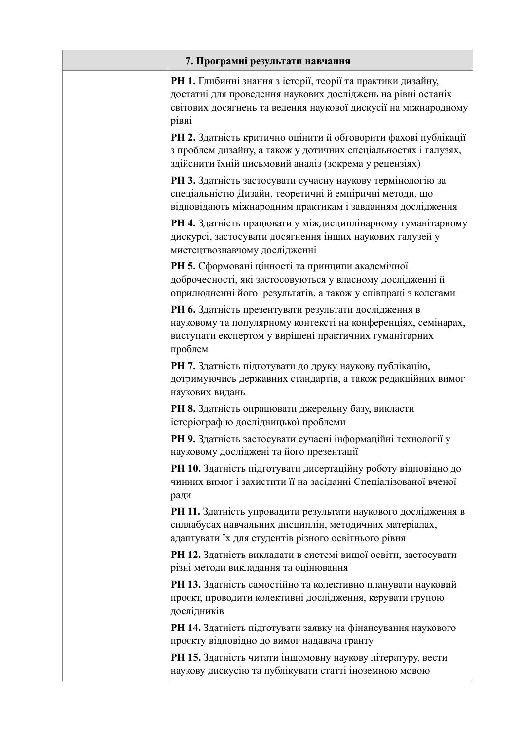| 7. Програмні результати навчання |                                                                                                                                                                                                          |  |  |  |  |  |  |  |  |  |
|----------------------------------|----------------------------------------------------------------------------------------------------------------------------------------------------------------------------------------------------------|--|--|--|--|--|--|--|--|--|
|                                  | РН 1. Глибинні знання з історії, теорії та практики дизайну,<br>достатні для проведення наукових досліджень на рівні останіх<br>світових досягнень та ведення наукової дискусії на міжнародному<br>рівні |  |  |  |  |  |  |  |  |  |
|                                  | РН 2. Здатність критично оцінити й обговорити фахові публікації<br>з проблем дизайну, а також у дотичних спеціальностях і галузях,<br>здійснити їхній письмовий аналіз (зокрема у рецензіях)             |  |  |  |  |  |  |  |  |  |
|                                  | РН 3. Здатність застосувати сучасну наукову термінологію за<br>спеціальністю Дизайн, теоретичні й емпіричні методи, що<br>відповідають міжнародним практикам і завданням дослідження                     |  |  |  |  |  |  |  |  |  |
|                                  | РН 4. Здатність працювати у міждисциплінарному гуманітарному<br>дискурсі, застосувати досягнення інших наукових галузей у<br>мистецтвознавчому дослідженні                                               |  |  |  |  |  |  |  |  |  |
|                                  | РН 5. Сформовані цінності та принципи академічної<br>доброчесності, які застосовуються у власному дослідженні й<br>оприлюдненні його результатів, а також у співпраці з колегами                         |  |  |  |  |  |  |  |  |  |
|                                  | РН 6. Здатність презентувати результати дослідження в<br>науковому та популярному контексті на конференціях, семінарах,<br>виступати експертом у вирішені практичних гуманітарних<br>проблем             |  |  |  |  |  |  |  |  |  |
|                                  | РН 7. Здатність підготувати до друку наукову публікацію,<br>дотримуючись державних стандартів, а також редакційних вимог<br>наукових видань                                                              |  |  |  |  |  |  |  |  |  |
|                                  | РН 8. Здатність опрацювати джерельну базу, викласти<br>історіографію дослідницької проблеми                                                                                                              |  |  |  |  |  |  |  |  |  |
|                                  | РН 9. Здатність застосувати сучасні інформаційні технології у<br>науковому досліджені та його презентації                                                                                                |  |  |  |  |  |  |  |  |  |
|                                  | РН 10. Здатність підготувати дисертаційну роботу відповідно до<br>чинних вимог і захистити її на засіданні Спеціалізованої вченої<br>ради                                                                |  |  |  |  |  |  |  |  |  |
|                                  | РН 11. Здатність упровадити результати наукового дослідження в<br>силлабусах навчальних дисциплін, методичних матеріалах,<br>адаптувати їх для студентів різного освітнього рівня                        |  |  |  |  |  |  |  |  |  |
|                                  | РН 12. Здатність викладати в системі вищої освіти, застосувати<br>різні методи викладання та оцінювання                                                                                                  |  |  |  |  |  |  |  |  |  |
|                                  | РН 13. Здатність самостійно та колективно планувати науковий<br>проєкт, проводити колективні дослідження, керувати групою<br>дослідників                                                                 |  |  |  |  |  |  |  |  |  |
|                                  | РН 14. Здатність підготувати заявку на фінансування наукового<br>проєкту відповідно до вимог надавача гранту                                                                                             |  |  |  |  |  |  |  |  |  |
|                                  | РН 15. Здатність читати іншомовну наукову літературу, вести<br>наукову дискусію та публікувати статті іноземною мовою                                                                                    |  |  |  |  |  |  |  |  |  |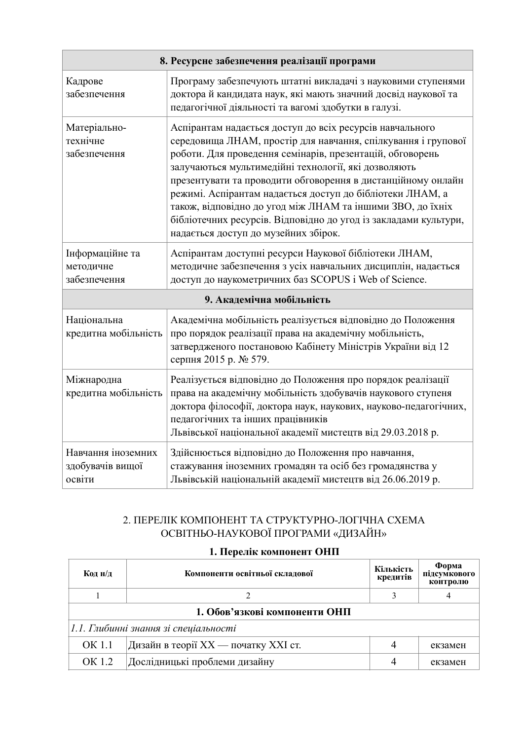| 8. Ресурсне забезпечення реалізації програми     |                                                                                                                                                                                                                                                                                                                                                                                                                                                                                                                                                       |  |  |  |  |  |  |  |  |  |
|--------------------------------------------------|-------------------------------------------------------------------------------------------------------------------------------------------------------------------------------------------------------------------------------------------------------------------------------------------------------------------------------------------------------------------------------------------------------------------------------------------------------------------------------------------------------------------------------------------------------|--|--|--|--|--|--|--|--|--|
| Кадрове<br>забезпечення                          | Програму забезпечують штатні викладачі з науковими ступенями<br>доктора й кандидата наук, які мають значний досвід наукової та<br>педагогічної діяльності та вагомі здобутки в галузі.                                                                                                                                                                                                                                                                                                                                                                |  |  |  |  |  |  |  |  |  |
| Матеріально-<br>технічне<br>забезпечення         | Аспірантам надається доступ до всіх ресурсів навчального<br>середовища ЛНАМ, простір для навчання, спілкування і групової<br>роботи. Для проведення семінарів, презентацій, обговорень<br>залучаються мультимедійні технології, які дозволяють<br>презентувати та проводити обговорення в дистанційному онлайн<br>режимі. Аспірантам надається доступ до бібліотеки ЛНАМ, а<br>також, відповідно до угод між ЛНАМ та іншими ЗВО, до їхніх<br>бібліотечних ресурсів. Відповідно до угод із закладами культури,<br>надається доступ до музейних збірок. |  |  |  |  |  |  |  |  |  |
| Інформаційне та<br>методичне<br>забезпечення     | Аспірантам доступні ресурси Наукової бібліотеки ЛНАМ,<br>методичне забезпечення з усіх навчальних дисциплін, надається<br>доступ до наукометричних баз SCOPUS i Web of Science.                                                                                                                                                                                                                                                                                                                                                                       |  |  |  |  |  |  |  |  |  |
|                                                  | 9. Академічна мобільність                                                                                                                                                                                                                                                                                                                                                                                                                                                                                                                             |  |  |  |  |  |  |  |  |  |
| Національна<br>кредитна мобільність              | Академічна мобільність реалізується відповідно до Положення<br>про порядок реалізації права на академічну мобільність,<br>затвердженого постановою Кабінету Міністрів України від 12<br>серпня 2015 р. № 579.                                                                                                                                                                                                                                                                                                                                         |  |  |  |  |  |  |  |  |  |
| Міжнародна<br>кредитна мобільність               | Реалізується відповідно до Положення про порядок реалізації<br>права на академічну мобільність здобувачів наукового ступеня<br>доктора філософії, доктора наук, наукових, науково-педагогічних,<br>педагогічних та інших працівників<br>Львівської національної академії мистецтв від 29.03.2018 р.                                                                                                                                                                                                                                                   |  |  |  |  |  |  |  |  |  |
| Навчання іноземних<br>здобувачів вищої<br>освіти | Здійснюється відповідно до Положення про навчання,<br>стажування іноземних громадян та осіб без громадянства у<br>Львівській національній академії мистецтв від 26.06.2019 р.                                                                                                                                                                                                                                                                                                                                                                         |  |  |  |  |  |  |  |  |  |

## 2. ПЕРЕЛІК КОМПОНЕНТ ТА СТРУКТУРНО-ЛОГІЧНА СХЕМА ОСВІТНЬО-НАУКОВОЇ ПРОГРАМИ «ДИЗАЙН»

# 1. Перелік компонент ОНП

| Код н/д | Компоненти освітньої складової        | Кількість<br>кредитів | Форма<br>підсумкового<br>контролю |  |  |  |  |  |  |  |  |  |
|---------|---------------------------------------|-----------------------|-----------------------------------|--|--|--|--|--|--|--|--|--|
|         |                                       |                       |                                   |  |  |  |  |  |  |  |  |  |
|         | 1. Обов'язкові компоненти ОНП         |                       |                                   |  |  |  |  |  |  |  |  |  |
|         | 1.1. Глибинні знання зі спеціальності |                       |                                   |  |  |  |  |  |  |  |  |  |
| OK 1.1  | Дизайн в теорії XX — початку XXI ст.  |                       | екзамен                           |  |  |  |  |  |  |  |  |  |
| OK 1.2  | Дослідницькі проблеми дизайну         |                       | екзамен                           |  |  |  |  |  |  |  |  |  |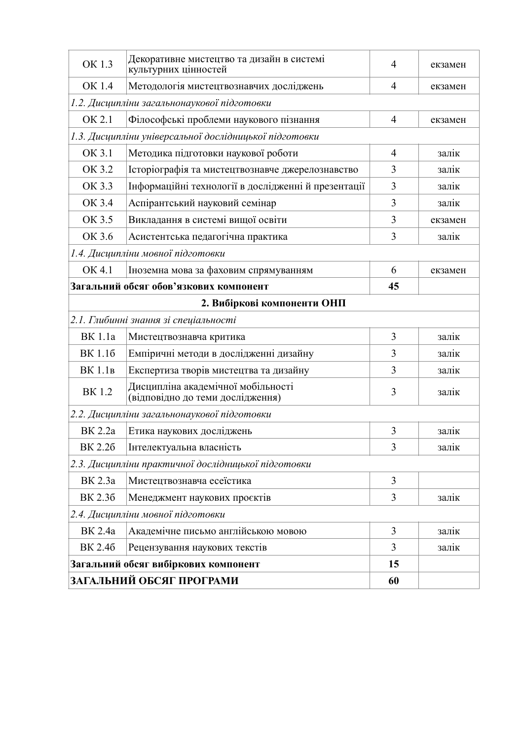| OK 1.3                                                 | Декоративне мистецтво та дизайн в системі<br>культурних цінностей      | $\overline{4}$ | екзамен |  |  |  |  |  |  |  |
|--------------------------------------------------------|------------------------------------------------------------------------|----------------|---------|--|--|--|--|--|--|--|
| OK 1.4                                                 | Методологія мистецтвознавчих досліджень                                | $\overline{4}$ | екзамен |  |  |  |  |  |  |  |
| 1.2. Дисципліни загальнонаукової підготовки            |                                                                        |                |         |  |  |  |  |  |  |  |
| OK 2.1                                                 | Філософські проблеми наукового пізнання                                | $\overline{4}$ | екзамен |  |  |  |  |  |  |  |
| 1.3. Дисципліни універсальної дослідницької підготовки |                                                                        |                |         |  |  |  |  |  |  |  |
| OK 3.1                                                 | Методика підготовки наукової роботи                                    | $\overline{4}$ | залік   |  |  |  |  |  |  |  |
| OK 3.2                                                 | Історіографія та мистецтвознавче джерелознавство                       | 3              | залік   |  |  |  |  |  |  |  |
| OK 3.3                                                 | Інформаційні технології в дослідженні й презентації                    | 3              | залік   |  |  |  |  |  |  |  |
| OK 3.4                                                 | Аспірантський науковий семінар                                         | 3              | залік   |  |  |  |  |  |  |  |
| OK 3.5                                                 | Викладання в системі вищої освіти                                      | 3              | екзамен |  |  |  |  |  |  |  |
| OK 3.6                                                 | Асистентська педагогічна практика                                      | 3              | залік   |  |  |  |  |  |  |  |
| 1.4. Дисципліни мовної підготовки                      |                                                                        |                |         |  |  |  |  |  |  |  |
| OK 4.1                                                 | Іноземна мова за фаховим спрямуванням                                  | 6              | екзамен |  |  |  |  |  |  |  |
|                                                        | Загальний обсяг обов'язкових компонент                                 | 45             |         |  |  |  |  |  |  |  |
|                                                        | 2. Вибіркові компоненти ОНП                                            |                |         |  |  |  |  |  |  |  |
|                                                        | 2.1. Глибинні знання зі спеціальності                                  |                |         |  |  |  |  |  |  |  |
| <b>BK</b> 1.1a                                         | Мистецтвознавча критика                                                | 3              | залік   |  |  |  |  |  |  |  |
| BK 1.16                                                | Емпіричні методи в дослідженні дизайну                                 | 3              | залік   |  |  |  |  |  |  |  |
| <b>BK</b> 1.1 <sub>B</sub>                             | Експертиза творів мистецтва та дизайну                                 | 3              | залік   |  |  |  |  |  |  |  |
| <b>BK1.2</b>                                           | Дисципліна академічної мобільності<br>(відповідно до теми дослідження) | 3              | залік   |  |  |  |  |  |  |  |
|                                                        | 2.2. Дисципліни загальнонаукової підготовки                            |                |         |  |  |  |  |  |  |  |
| BK 2.2a                                                | Етика наукових досліджень                                              | 3              | залік   |  |  |  |  |  |  |  |
| BK 2.26                                                | Інтелектуальна власність                                               | $\overline{3}$ | залік   |  |  |  |  |  |  |  |
|                                                        | 2.3. Дисципліни практичної дослідницької підготовки                    |                |         |  |  |  |  |  |  |  |
| BK 2.3a                                                | Мистецтвознавча есеїстика                                              | $\overline{3}$ |         |  |  |  |  |  |  |  |
| BK 2.36                                                | Менеджмент наукових проєктів                                           | 3              | залік   |  |  |  |  |  |  |  |
|                                                        | 2.4. Дисципліни мовної підготовки                                      |                |         |  |  |  |  |  |  |  |
| <b>BK</b> 2.4a                                         | Академічне письмо англійською мовою                                    | 3              | залік   |  |  |  |  |  |  |  |
| BK 2.46                                                | Рецензування наукових текстів                                          | 3              | залік   |  |  |  |  |  |  |  |
|                                                        | Загальний обсяг вибіркових компонент                                   | 15             |         |  |  |  |  |  |  |  |
|                                                        | ЗАГАЛЬНИЙ ОБСЯГ ПРОГРАМИ                                               | 60             |         |  |  |  |  |  |  |  |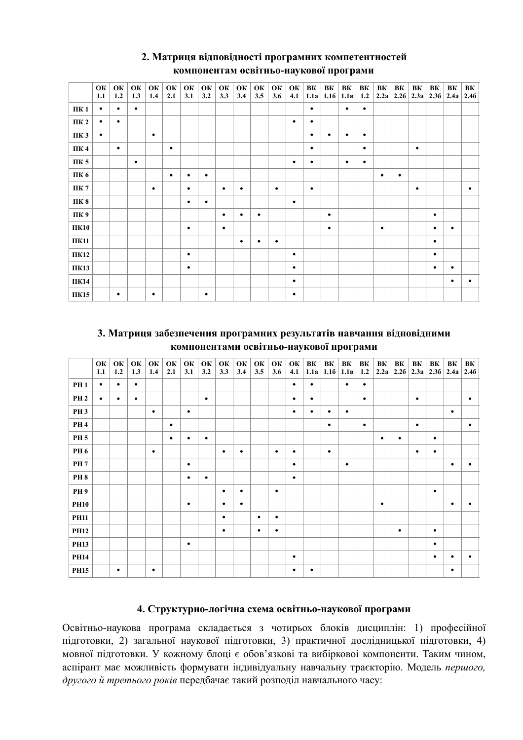|      | ОК<br>1.1 | ОК<br>1.2 | ОК<br>1.3 | ОК<br>1.4 | ОК<br>2.1 | ОК<br>3.1 | ОК<br>3.2 | OK<br>3.3 | ОК<br>3.4 | ОК<br>3.5 | ОК<br>3.6 | ОК<br>4.1 | BК<br>1.1a | BК<br>1.16 | BК<br>1.1 <sub>B</sub> | BК<br>1.2 | BК        | BК<br>$2.2a$   2.26 | BК<br>2.3a | BК<br>2.36 | BК<br>2.4a | BК<br>2.46 |
|------|-----------|-----------|-----------|-----------|-----------|-----------|-----------|-----------|-----------|-----------|-----------|-----------|------------|------------|------------------------|-----------|-----------|---------------------|------------|------------|------------|------------|
| ПК 1 | $\bullet$ | $\bullet$ | $\bullet$ |           |           |           |           |           |           |           |           |           | $\bullet$  |            | $\bullet$              | $\bullet$ |           |                     |            |            |            |            |
| ПК 2 | $\bullet$ | $\bullet$ |           |           |           |           |           |           |           |           |           | ٠         | $\bullet$  |            |                        |           |           |                     |            |            |            |            |
| ПК 3 | $\bullet$ |           |           | $\bullet$ |           |           |           |           |           |           |           |           | $\bullet$  | $\bullet$  | $\bullet$              | $\bullet$ |           |                     |            |            |            |            |
| ПК4  |           | $\bullet$ |           |           | $\bullet$ |           |           |           |           |           |           |           | $\bullet$  |            |                        | $\bullet$ |           |                     | $\bullet$  |            |            |            |
| ПК 5 |           |           | ٠         |           |           |           |           |           |           |           |           | ٠         | $\bullet$  |            | $\bullet$              | ٠         |           |                     |            |            |            |            |
| ПК 6 |           |           |           |           | $\bullet$ | ٠         | $\bullet$ |           |           |           |           |           |            |            |                        |           | ٠         | $\bullet$           |            |            |            |            |
| ПК 7 |           |           |           | $\bullet$ |           | ٠         |           | $\bullet$ | $\bullet$ |           | $\bullet$ |           | $\bullet$  |            |                        |           |           |                     | $\bullet$  |            |            | $\bullet$  |
| ПК 8 |           |           |           |           |           | $\bullet$ | $\bullet$ |           |           |           |           | $\bullet$ |            |            |                        |           |           |                     |            |            |            |            |
| ПК 9 |           |           |           |           |           |           |           | $\bullet$ | $\bullet$ | $\bullet$ |           |           |            | $\bullet$  |                        |           |           |                     |            | $\bullet$  |            |            |
| ПК10 |           |           |           |           |           | $\bullet$ |           | $\bullet$ |           |           |           |           |            | $\bullet$  |                        |           | $\bullet$ |                     |            | $\bullet$  | ٠          |            |
| ПК11 |           |           |           |           |           |           |           |           | $\bullet$ | $\bullet$ | ٠         |           |            |            |                        |           |           |                     |            | $\bullet$  |            |            |
| ПК12 |           |           |           |           |           | $\bullet$ |           |           |           |           |           | ٠         |            |            |                        |           |           |                     |            | $\bullet$  |            |            |
| ПК13 |           |           |           |           |           | $\bullet$ |           |           |           |           |           | ٠         |            |            |                        |           |           |                     |            | ٠          | ٠          |            |
| ПК14 |           |           |           |           |           |           |           |           |           |           |           | $\bullet$ |            |            |                        |           |           |                     |            |            | ٠          | ٠          |
| ПК15 |           | $\bullet$ |           | $\bullet$ |           |           | ٠         |           |           |           |           | ٠         |            |            |                        |           |           |                     |            |            |            |            |

### 2. Матриця відповідності програмних компетентностей компонентам освітньо-наукової програми

### 3. Матриця забезпечення програмних результатів навчання відповідними компонентами освітньо-наукової програми

|             | ОК<br>1.1 | O K<br>1.2 | ОК<br>1.3 | ОК<br>1.4 | ОК<br>2.1 | ОК<br>3.1 | OK<br>3.2 | O K<br>3.3 | ОК<br>3.4 | ОК<br>3.5 | ОК<br>3.6 | O K<br>4.1 | ΒК<br>1.1a | ΒК        | BК<br>$1.16$ 1.1 <sub>B</sub> | BК<br>1.2 | BK        | BK        | BК<br>$2.2a$   2.26   2.3a   2.36   2.4a | BК        | ΒК        | BK<br>2.46 |
|-------------|-----------|------------|-----------|-----------|-----------|-----------|-----------|------------|-----------|-----------|-----------|------------|------------|-----------|-------------------------------|-----------|-----------|-----------|------------------------------------------|-----------|-----------|------------|
| <b>PH1</b>  | $\bullet$ | $\bullet$  | $\bullet$ |           |           |           |           |            |           |           |           | $\bullet$  | $\bullet$  |           | $\bullet$                     | $\bullet$ |           |           |                                          |           |           |            |
| <b>PH 2</b> | $\bullet$ | $\bullet$  | $\bullet$ |           |           |           | $\bullet$ |            |           |           |           | $\bullet$  | $\bullet$  |           |                               | $\bullet$ |           |           | $\bullet$                                |           |           | ٠          |
| <b>PH3</b>  |           |            |           | ٠         |           | $\bullet$ |           |            |           |           |           | $\bullet$  | ٠          | $\bullet$ | $\bullet$                     |           |           |           |                                          |           | $\bullet$ |            |
| <b>PH4</b>  |           |            |           |           | $\bullet$ |           |           |            |           |           |           |            |            | $\bullet$ |                               | $\bullet$ |           |           | $\bullet$                                |           |           | ٠          |
| <b>PH 5</b> |           |            |           |           | $\bullet$ | $\bullet$ | $\bullet$ |            |           |           |           |            |            |           |                               |           | $\bullet$ | $\bullet$ |                                          | $\bullet$ |           |            |
| <b>PH6</b>  |           |            |           | $\bullet$ |           |           |           | $\bullet$  | $\bullet$ |           | $\bullet$ | $\bullet$  |            | $\bullet$ |                               |           |           |           | $\bullet$                                | $\bullet$ |           |            |
| <b>PH7</b>  |           |            |           |           |           | ٠         |           |            |           |           |           | ٠          |            |           | $\bullet$                     |           |           |           |                                          |           | $\bullet$ |            |
| <b>PH8</b>  |           |            |           |           |           | $\bullet$ | $\bullet$ |            |           |           |           | $\bullet$  |            |           |                               |           |           |           |                                          |           |           |            |
| <b>PH9</b>  |           |            |           |           |           |           |           | $\bullet$  | $\bullet$ |           | $\bullet$ |            |            |           |                               |           |           |           |                                          | $\bullet$ |           |            |
| <b>PH10</b> |           |            |           |           |           | ٠         |           | ٠          | $\bullet$ |           |           |            |            |           |                               |           | $\bullet$ |           |                                          |           | $\bullet$ | ٠          |
| <b>PH11</b> |           |            |           |           |           |           |           | $\bullet$  |           | $\bullet$ | ٠         |            |            |           |                               |           |           |           |                                          |           |           |            |
| <b>PH12</b> |           |            |           |           |           |           |           | $\bullet$  |           | $\bullet$ | $\bullet$ |            |            |           |                               |           |           | $\bullet$ |                                          | $\bullet$ |           |            |
| <b>PH13</b> |           |            |           |           |           | $\bullet$ |           |            |           |           |           |            |            |           |                               |           |           |           |                                          | $\bullet$ |           |            |
| <b>PH14</b> |           |            |           |           |           |           |           |            |           |           |           | $\bullet$  |            |           |                               |           |           |           |                                          | $\bullet$ | $\bullet$ | ٠          |
| <b>PH15</b> |           | ٠          |           | ٠         |           |           |           |            |           |           |           | $\bullet$  | ٠          |           |                               |           |           |           |                                          |           | $\bullet$ |            |

### 4. Структурно-логічна схема освітньо-наукової програми

Освітньо-наукова програма складається з чотирьох блоків дисциплін: 1) професійної підготовки, 2) загальної наукової підготовки, 3) практичної дослідницької підготовки, 4) мовної підготовки. У кожному блоці є обов'язкові та вибіркової компоненти. Таким чином, аспірант має можливість формувати індивідуальну навчальну траєкторію. Модель першого, другого й третього років передбачає такий розподіл навчального часу: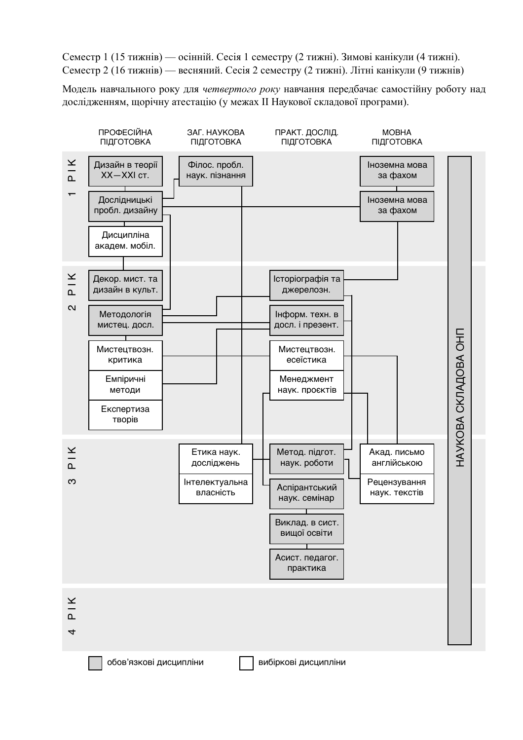Семестр 1 (15 тижнів) — осінній. Сесія 1 семестру (2 тижні). Зимові канікули (4 тижні). Семестр 2 (16 тижнів) — весняний. Сесія 2 семестру (2 тижні). Літні канікули (9 тижнів)

Модель навчального року для четвертого року навчання передбачає самостійну роботу над дослідженням, щорічну атестацію (у межах II Наукової складової програми).